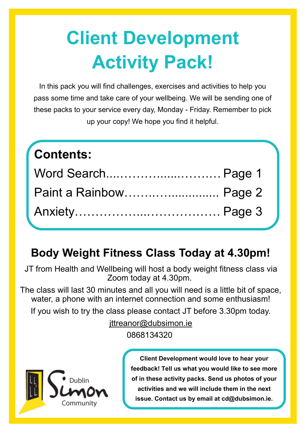# **Client Development Activity Pack!**

In this pack you will find challenges, exercises and activities to help you pass some time and take care of your wellbeing. We will be sending one of these packs to your service every day, Monday - Friday. Remember to pick up your copy! We hope you find it helpful.

# **Contents:** Word Search....……….......…….… Page 1 Paint a Rainbow……..…............... Page 2 Anxiety……………...……………… Page 3

### **Body Weight Fitness Class Today at 4.30pm!**

JT from Health and Wellbeing will host a body weight fitness class via Zoom today at 4.30pm.

The class will last 30 minutes and all you will need is a little bit of space, water, a phone with an internet connection and some enthusiasm!

If you wish to try the class please contact JT before 3.30pm today.

ittreanor@dubsimon.ie 0868134320



**Client Development would love to hear your feedback! Tell us what you would like to see more of in these activity packs. Send us photos of your activities and we will include them in the next issue. Contact us by email at cd@dubsimon.ie.**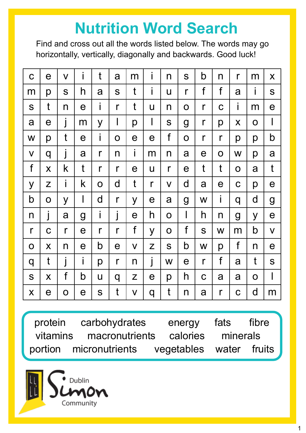## **Nutrition Word Search**

Find and cross out all the words listed below. The words may go horizontally, vertically, diagonally and backwards. Good luck!

| $\mathbf C$  | $\mathsf e$           | $\overline{\mathsf{V}}$  | i                     | t            | a            | m                       | i              | n            | S            | b            | n                     | $\mathsf{r}$   | m            | X                       |
|--------------|-----------------------|--------------------------|-----------------------|--------------|--------------|-------------------------|----------------|--------------|--------------|--------------|-----------------------|----------------|--------------|-------------------------|
| m            | p                     | S                        | h                     | a            | S            | t                       | İ              | U            | $\mathsf{r}$ | f            | f                     | a              | İ            | S                       |
| S            | t                     | n                        | e                     | İ            | $\mathsf{r}$ | t                       | U              | n            | $\mathbf 0$  | $\mathsf{r}$ | $\mathbf C$           | İ              | m            | $\mathbf e$             |
| a            | $\mathbf e$           | $\overline{\phantom{a}}$ | m                     | y            | I            | р                       | I              | S            | g            | r            | р                     | X              | $\mathbf O$  | I                       |
| W            | p                     | t                        | е                     | i            | $\mathbf 0$  | $\mathbf e$             | $\mathbf e$    | f            | $\mathbf O$  | r            | $\mathsf{r}$          | р              | p            | b                       |
| $\mathsf{V}$ | q                     | j                        | a                     | $\mathsf{r}$ | n            | İ                       | m              | n            | a            | $\mathbf e$  | $\mathbf O$           | W              | p            | a                       |
| f            | $\boldsymbol{X}$      | k                        | t                     | $\mathsf{r}$ | $\mathsf{r}$ | $\mathbf e$             | $\overline{u}$ | $\mathsf{r}$ | $\mathbf e$  | t            | t                     | $\mathbf O$    | a            | $\mathfrak{t}$          |
| y            | Z                     | İ                        | k                     | $\mathbf O$  | $\mathsf{d}$ | t                       | $\mathsf{r}$   | $\mathsf{V}$ | d            | a            | $\boldsymbol{\theta}$ | $\mathbf C$    | p            | $\mathbf e$             |
| b            | $\mathbf O$           | y                        | I                     | $\mathsf{d}$ | $\mathsf{r}$ | y                       | $\mathbf e$    | a            | g            | W            | İ                     | q              | d            | g                       |
| n            | Ī                     | a                        | g                     | İ            | j            | $\mathbf e$             | h              | $\mathbf O$  |              | h            | $\mathsf{n}$          | $\overline{g}$ | y            | $\mathbf e$             |
| r            | $\mathbf C$           | $\mathsf{r}$             | $\mathbf e$           | r            | $\mathsf{r}$ | f                       | y              | O            | f            | S            | W                     | m              | $\mathsf b$  | $\overline{\mathsf{V}}$ |
| $\mathbf O$  | X                     | n                        | $\mathbf e$           | b            | $\mathbf e$  | $\overline{\mathsf{V}}$ | Z              | S            | b            | W            | p                     | f              | n            | e                       |
| q            | $\mathfrak{t}$        | İ                        | i                     | p            | $\mathsf{r}$ | n                       | j              | W            | e            | r            | f                     | a              | t            | S                       |
| S            | X                     | f                        | b                     | $\bigcup$    | q            | Z                       | $\mathbf e$    | p            | h            | $\mathbf C$  | a                     | a              | $\mathbf O$  | I                       |
| X            | $\boldsymbol{\Theta}$ | O                        | $\boldsymbol{\theta}$ | S            | t            | $\mathsf{V}$            | q              | t            | n            | a            | $\mathsf{r}$          | $\mathbf C$    | $\mathsf{d}$ | m                       |

protein carbohydrates energy fats fibre vitamins macronutrients calories minerals portion micronutrients vegetables water fruits

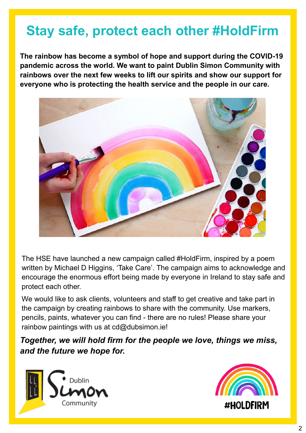### **Stay safe, protect each other #HoldFirm**

**The rainbow has become a symbol of hope and support during the COVID-19 pandemic across the world. We want to paint Dublin Simon Community with rainbows over the next few weeks to lift our spirits and show our support for everyone who is protecting the health service and the people in our care.** 



The HSE have launched a new campaign called #HoldFirm, inspired by a poem written by Michael D Higgins, 'Take Care'. The campaign aims to acknowledge and encourage the enormous effort being made by everyone in Ireland to stay safe and protect each other.

We would like to ask clients, volunteers and staff to get creative and take part in the campaign by creating rainbows to share with the community. Use markers, pencils, paints, whatever you can find - there are no rules! Please share your rainbow paintings with us at cd@dubsimon.ie!

*Together, we will hold firm for the people we love, things we miss, and the future we hope for.*